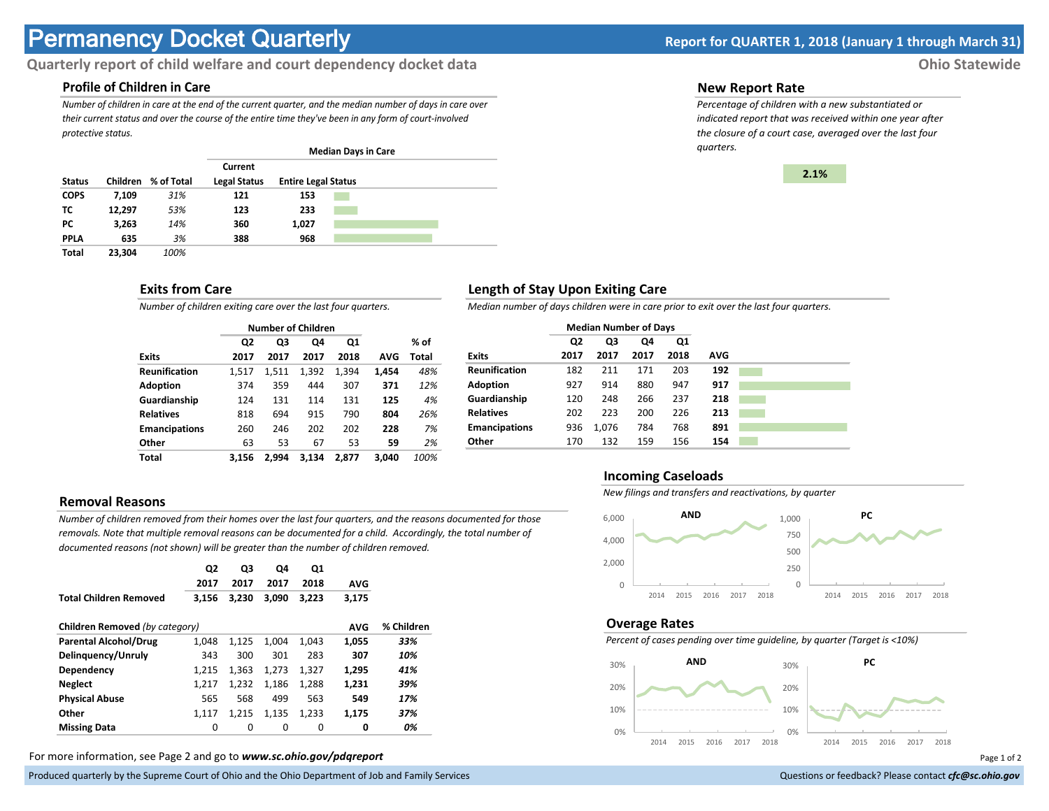# **Permanency Docket Quarterly Report for QUARTER 1, 2018 (January 1 through March 31)**

# **Quarterly report of child welfare and court dependency docket data Ohio Statewide**

## **Profile of Children in Care**

*Number of children in care at the end of the current quarter, and the median number of days in care over their current status and over the course of the entire time they've been in any form of court-involved protective status.*

|               |          |            | <b>Median Days in Care</b>     |                            |  |  |  |  |
|---------------|----------|------------|--------------------------------|----------------------------|--|--|--|--|
| <b>Status</b> | Children | % of Total | Current<br><b>Legal Status</b> | <b>Entire Legal Status</b> |  |  |  |  |
|               |          |            |                                |                            |  |  |  |  |
| <b>COPS</b>   | 7,109    | 31%        | 121                            | 153                        |  |  |  |  |
| тс            | 12,297   | 53%        | 123                            | 233                        |  |  |  |  |
| PC.           | 3,263    | 14%        | 360                            | 1,027                      |  |  |  |  |
| <b>PPLA</b>   | 635      | 3%         | 388                            | 968                        |  |  |  |  |
| <b>Total</b>  | 23.304   | 100%       |                                |                            |  |  |  |  |

#### **Exits from Care**

*Number of children exiting care over the last four quarters.*

|                      |                | <b>Number of Children</b> |       |       |       |       |
|----------------------|----------------|---------------------------|-------|-------|-------|-------|
|                      | Q <sub>2</sub> | Q3                        | Q4    | Q1    |       | % of  |
| <b>Exits</b>         | 2017           | 2017                      | 2017  | 2018  | AVG   | Total |
| <b>Reunification</b> | 1,517          | 1.511                     | 1,392 | 1,394 | 1,454 | 48%   |
| <b>Adoption</b>      | 374            | 359                       | 444   | 307   | 371   | 12%   |
| Guardianship         | 124            | 131                       | 114   | 131   | 125   | 4%    |
| <b>Relatives</b>     | 818            | 694                       | 915   | 790   | 804   | 26%   |
| <b>Emancipations</b> | 260            | 246                       | 202   | 202   | 228   | 7%    |
| Other                | 63             | 53                        | 67    | 53    | 59    | 2%    |
| Total                | 3.156          | 2.994                     | 3.134 | 2,877 | 3.040 | 100%  |

## **Removal Reasons**

*Number of children removed from their homes over the last four quarters, and the reasons documented for those removals. Note that multiple removal reasons can be documented for a child. Accordingly, the total number of documented reasons (not shown) will be greater than the number of children removed.* 

|                                | Q2<br>2017 | Q3<br>2017 | Q4<br>2017 | Q1<br>2018 | <b>AVG</b> |            |
|--------------------------------|------------|------------|------------|------------|------------|------------|
| <b>Total Children Removed</b>  | 3,156      | 3.230      | 3.090      | 3,223      | 3,175      |            |
| Children Removed (by category) |            |            |            |            | <b>AVG</b> | % Children |
| <b>Parental Alcohol/Drug</b>   | 1.048      | 1,125      | 1.004      | 1.043      | 1,055      | 33%        |
| Delinguency/Unruly             | 343        | 300        | 301        | 283        | 307        | 10%        |
| Dependency                     | 1.215      | 1.363      | 1.273      | 1.327      | 1.295      | 41%        |
| <b>Neglect</b>                 | 1.217      | 1.232      | 1.186      | 1,288      | 1.231      | 39%        |
| <b>Physical Abuse</b>          | 565        | 568        | 499        | 563        | 549        | 17%        |
| Other                          | 1.117      | 1,215      | 1,135      | 1,233      | 1,175      | 37%        |
| <b>Missing Data</b>            | 0          | 0          | 0          | 0          | 0          | 0%         |

For more information, see Page 2 and go to *www.sc.ohio.gov/pdqreport* Page 1 of 2

Produced quarterly by the Supreme Court of Ohio and the Ohio Department of Job and Family Services **Department** of *Services* Court of Ohio and the Ohio Department of Job and Family Services **Communist Court of Court of Co** 

#### **New Report Rate**

*Percentage of children with a new substantiated or indicated report that was received within one year after the closure of a court case, averaged over the last four quarters.*



### **Length of Stay Upon Exiting Care**

*Median number of days children were in care prior to exit over the last four quarters.*

|                      | <b>Median Number of Days</b> |       |      |      |     |  |
|----------------------|------------------------------|-------|------|------|-----|--|
|                      | Q2                           | Q3    | Q4   | Q1   |     |  |
| <b>Exits</b>         | 2017                         | 2017  | 2017 | 2018 | AVG |  |
| <b>Reunification</b> | 182                          | 211   | 171  | 203  | 192 |  |
| <b>Adoption</b>      | 927                          | 914   | 880  | 947  | 917 |  |
| Guardianship         | 120                          | 248   | 266  | 237  | 218 |  |
| <b>Relatives</b>     | 202                          | 223   | 200  | 226  | 213 |  |
| <b>Emancipations</b> | 936                          | 1,076 | 784  | 768  | 891 |  |
| Other                | 170                          | 132   | 159  | 156  | 154 |  |

#### **Incoming Caseloads**

*New filings and transfers and reactivations, by quarter*



#### **Overage Rates**

*Percent of cases pending over time guideline, by quarter (Target is <10%)*